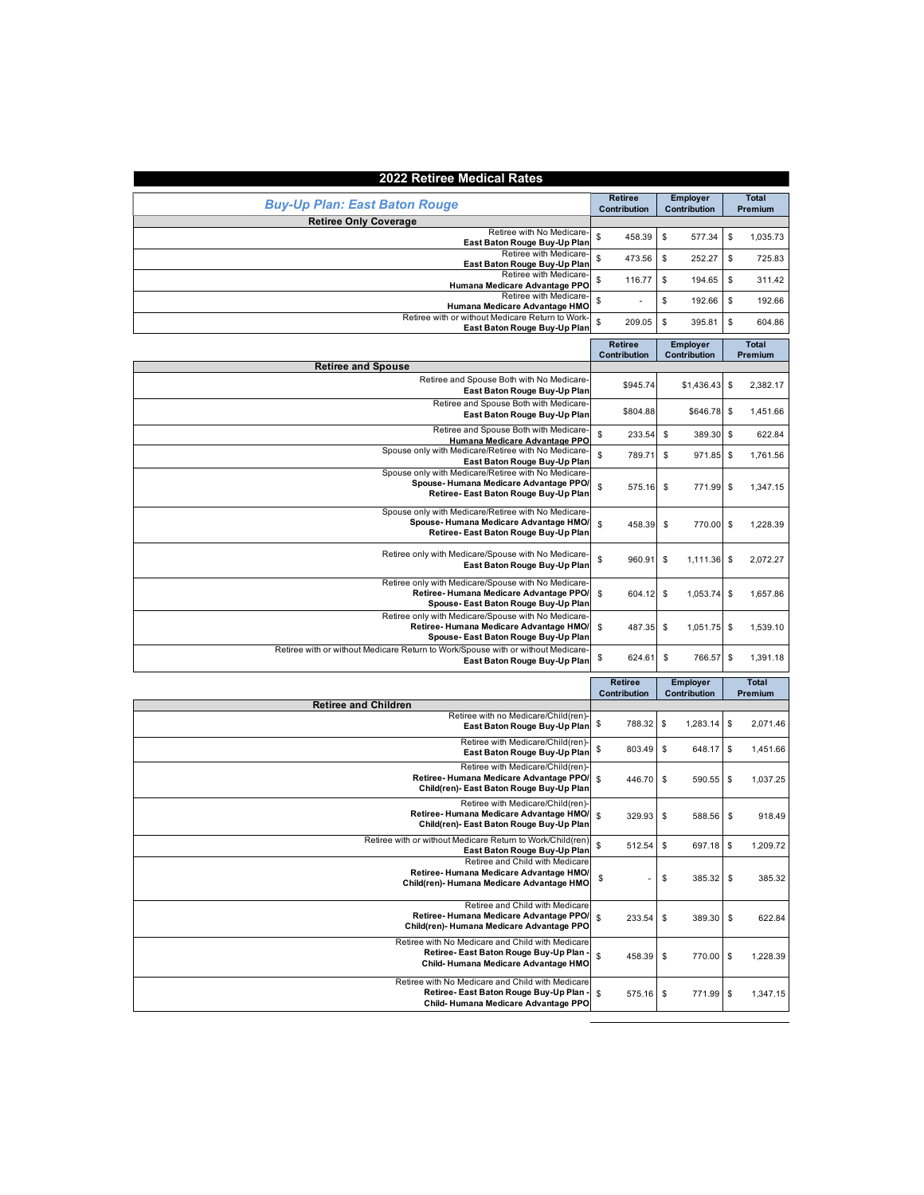| 2022 Retiree Medical Rates                                                                                                            |                                |                                 |                |
|---------------------------------------------------------------------------------------------------------------------------------------|--------------------------------|---------------------------------|----------------|
|                                                                                                                                       | <b>Retiree</b>                 | <b>Employer</b>                 | <b>Total</b>   |
| <b>Buy-Up Plan: East Baton Rouge</b>                                                                                                  | Contribution                   | Contribution                    | Premium        |
| <b>Retiree Only Coverage</b>                                                                                                          |                                |                                 |                |
| Retiree with No Medicare-<br>East Baton Rouge Buy-Up Plan                                                                             | \$<br>458.39                   | \$<br>577.34                    | \$<br>1,035.73 |
| Retiree with Medicare-<br>East Baton Rouge Buy-Up Plan                                                                                | \$<br>473.56                   | \$<br>252.27                    | \$<br>725.83   |
| Retiree with Medicare-<br>Humana Medicare Advantage PPO                                                                               | \$<br>116.77                   | \$<br>194.65                    | \$<br>311.42   |
| Retiree with Medicare-<br>Humana Medicare Advantage HMO                                                                               | \$                             | \$<br>192.66                    | \$<br>192.66   |
| Retiree with or without Medicare Return to Work-<br>East Baton Rouge Buy-Up Plan                                                      | \$<br>209.05                   | \$<br>395.81                    | \$<br>604.86   |
|                                                                                                                                       | <b>Retiree</b><br>Contribution | <b>Employer</b><br>Contribution |                |
| <b>Retiree and Spouse</b>                                                                                                             |                                |                                 | Premium        |
| Retiree and Spouse Both with No Medicare-<br>East Baton Rouge Buy-Up Plan                                                             | \$945.74                       | \$1,436.43                      | \$<br>2,382.17 |
| Retiree and Spouse Both with Medicare-<br>East Baton Rouge Buy-Up Plan                                                                | \$804.88                       | \$646.78                        | \$<br>1,451.66 |
| Retiree and Spouse Both with Medicare-                                                                                                | \$<br>233.54                   | \$<br>389.30                    | \$<br>622.84   |
| Humana Medicare Advantage PPO<br>Spouse only with Medicare/Retiree with No Medicare-                                                  | \$<br>789.71                   | \$<br>971.85                    | \$<br>1,761.56 |
| East Baton Rouge Buy-Up Plan<br>Spouse only with Medicare/Retiree with No Medicare                                                    |                                |                                 |                |
| Spouse-Humana Medicare Advantage PPO/<br>Retiree- East Baton Rouge Buy-Up Plan                                                        | \$<br>575.16                   | \$<br>771.99                    | \$<br>1,347.15 |
| Spouse only with Medicare/Retiree with No Medicare-<br>Spouse-Humana Medicare Advantage HMO/<br>Retiree-East Baton Rouge Buy-Up Plan  | \$<br>458.39                   | \$<br>770.00                    | \$<br>1,228.39 |
| Retiree only with Medicare/Spouse with No Medicare-<br>East Baton Rouge Buy-Up Plan                                                   | \$<br>960.91                   | \$<br>1,111.36                  | \$<br>2,072.27 |
| Retiree only with Medicare/Spouse with No Medicare-<br>Retiree-Humana Medicare Advantage PPO/<br>Spouse- East Baton Rouge Buy-Up Plan | \$<br>604.12                   | \$<br>1,053.74                  | \$<br>1,657.86 |
| Retiree only with Medicare/Spouse with No Medicare-<br>Retiree-Humana Medicare Advantage HMO/<br>Spouse- East Baton Rouge Buy-Up Plan | \$<br>487.35                   | \$<br>1,051.75 \$               | 1,539.10       |
| Retiree with or without Medicare Return to Work/Spouse with or without Medicare<br>East Baton Rouge Buy-Up Plan                       | \$<br>624.61                   | \$<br>766.57                    | \$<br>1,391.18 |
|                                                                                                                                       | <b>Retiree</b>                 | <b>Employer</b>                 | <b>Total</b>   |
|                                                                                                                                       | Contribution                   | Contribution                    | Premium        |
| <b>Retiree and Children</b>                                                                                                           |                                |                                 |                |
| Retiree with no Medicare/Child(ren)-<br>East Baton Rouge Buy-Up Plan                                                                  | \$<br>788.32                   | \$<br>1,283.14                  | \$<br>2,071.46 |
| Retiree with Medicare/Child(ren)-<br>East Baton Rouge Buy-Up Plan                                                                     | \$<br>803.49                   | \$<br>648.17                    | \$<br>1,451.66 |
| Retiree with Medicare/Child(ren)-<br>Retiree-Humana Medicare Advantage PPO/<br>Child(ren)- East Baton Rouge Buy-Up Plan               | \$<br>446.70                   | \$<br>590.55                    | \$<br>1,037.25 |
| Retiree with Medicare/Child(ren)-<br>Retiree-Humana Medicare Advantage HMO/<br>Child(ren)- East Baton Rouge Buy-Up Plan               | S<br>329.93                    | \$<br>588.56                    | \$<br>918.49   |
| Retiree with or without Medicare Return to Work/Child(ren)                                                                            | \$<br>512.54                   | \$<br>697.18                    | 1,209.72       |
| East Baton Rouge Buy-Up Plan<br>Retiree and Child with Medicare                                                                       |                                |                                 |                |
| Retiree-Humana Medicare Advantage HMO/<br>Child(ren)- Humana Medicare Advantage HMO                                                   | \$                             | \$<br>385.32                    | \$<br>385.32   |
| Retiree and Child with Medicare<br>Retiree-Humana Medicare Advantage PPO/<br>Child(ren)- Humana Medicare Advantage PPO                | \$<br>233.54                   | \$<br>389.30                    | \$<br>622.84   |
| Retiree with No Medicare and Child with Medicare<br>Retiree-East Baton Rouge Buy-Up Plan<br>Child-Humana Medicare Advantage HMO       | \$<br>458.39                   | \$<br>770.00 \$                 | 1,228.39       |
| Retiree with No Medicare and Child with Medicare<br>Retiree-East Baton Rouge Buy-Up Plan<br>Child-Humana Medicare Advantage PPO       | \$<br>575.16                   | \$<br>771.99                    | \$<br>1,347.15 |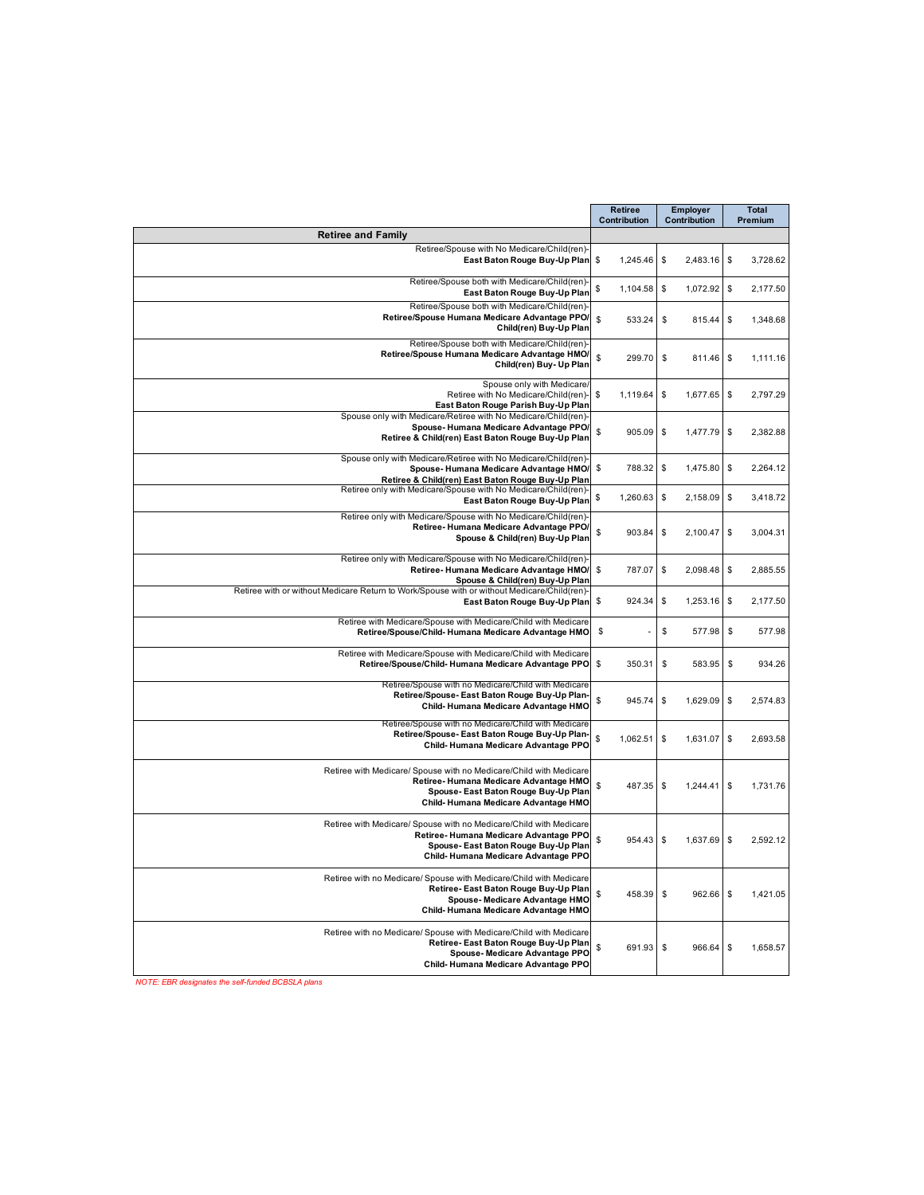|                                                                                                                                                                                            | <b>Retiree</b><br>Contribution | <b>Employer</b><br>Contribution | <b>Total</b><br>Premium |
|--------------------------------------------------------------------------------------------------------------------------------------------------------------------------------------------|--------------------------------|---------------------------------|-------------------------|
| <b>Retiree and Family</b>                                                                                                                                                                  |                                |                                 |                         |
| Retiree/Spouse with No Medicare/Child(ren)-<br>East Baton Rouge Buy-Up Plan \$                                                                                                             | 1,245.46                       | \$<br>2,483.16 \$               | 3,728.62                |
| Retiree/Spouse both with Medicare/Child(ren)-<br>East Baton Rouge Buy-Up Plan                                                                                                              | \$<br>1,104.58                 | \$<br>1,072.92                  | \$<br>2,177.50          |
| Retiree/Spouse both with Medicare/Child(ren)<br>Retiree/Spouse Humana Medicare Advantage PPO/<br>Child(ren) Buy-Up Plan                                                                    | S<br>533.24                    | \$<br>815.44                    | \$<br>1,348.68          |
| Retiree/Spouse both with Medicare/Child(ren)-<br>Retiree/Spouse Humana Medicare Advantage HMO/<br>Child(ren) Buy- Up Plan                                                                  | \$<br>299.70                   | \$<br>811.46 \$                 | 1,111.16                |
| Spouse only with Medicare/<br>Retiree with No Medicare/Child(ren)-<br>East Baton Rouge Parish Buy-Up Plan                                                                                  | \$<br>1,119.64                 | \$<br>1,677.65 \$               | 2,797.29                |
| Spouse only with Medicare/Retiree with No Medicare/Child(ren)-<br>Spouse-Humana Medicare Advantage PPO/<br>Retiree & Child(ren) East Baton Rouge Buy-Up Plan                               | \$<br>905.09                   | \$<br>1,477.79                  | \$<br>2,382.88          |
| Spouse only with Medicare/Retiree with No Medicare/Child(ren)-<br>Spouse-Humana Medicare Advantage HMO/<br>Retiree & Child(ren) East Baton Rouge Buy-Up Plan                               | \$<br>788.32                   | \$<br>1,475.80                  | \$<br>2,264.12          |
| Retiree only with Medicare/Spouse with No Medicare/Child(ren)-<br>East Baton Rouge Buy-Up Plan                                                                                             | \$<br>1,260.63                 | \$<br>2,158.09                  | \$<br>3,418.72          |
| Retiree only with Medicare/Spouse with No Medicare/Child(ren)<br>Retiree-Humana Medicare Advantage PPO/<br>Spouse & Child(ren) Buy-Up Plan                                                 | \$<br>903.84                   | \$<br>2.100.47                  | \$<br>3,004.31          |
| Retiree only with Medicare/Spouse with No Medicare/Child(ren)-<br>Retiree-Humana Medicare Advantage HMO/<br>Spouse & Child(ren) Buy-Up Plan                                                | \$<br>787.07                   | \$<br>2,098.48                  | \$<br>2,885.55          |
| Retiree with or without Medicare Return to Work/Spouse with or without Medicare/Child(ren)-<br>East Baton Rouge Buy-Up Plan                                                                | \$<br>924.34                   | \$<br>1,253.16                  | \$<br>2,177.50          |
| Retiree with Medicare/Spouse with Medicare/Child with Medicare<br>Retiree/Spouse/Child-Humana Medicare Advantage HMO                                                                       | \$                             | \$<br>577.98                    | \$<br>577.98            |
| Retiree with Medicare/Spouse with Medicare/Child with Medicare<br>Retiree/Spouse/Child-Humana Medicare Advantage PPO                                                                       | \$<br>350.31                   | \$<br>583.95                    | S<br>934.26             |
| Retiree/Spouse with no Medicare/Child with Medicare<br>Retiree/Spouse-East Baton Rouge Buy-Up Plan-<br>Child-Humana Medicare Advantage HMO                                                 | \$<br>945.74                   | \$<br>1,629.09                  | \$<br>2,574.83          |
| Retiree/Spouse with no Medicare/Child with Medicare<br>Retiree/Spouse-East Baton Rouge Buy-Up Plan-<br>Child-Humana Medicare Advantage PPO                                                 | \$<br>1,062.51                 | \$<br>1,631.07                  | \$<br>2,693.58          |
| Retiree with Medicare/ Spouse with no Medicare/Child with Medicare<br>Retiree-Humana Medicare Advantage HMO<br>Spouse- East Baton Rouge Buy-Up Plan<br>Child-Humana Medicare Advantage HMO | \$<br>487.35                   | \$<br>1,244.41                  | \$<br>1,731.76          |
| Retiree with Medicare/ Spouse with no Medicare/Child with Medicare<br>Retiree-Humana Medicare Advantage PPO<br>Spouse- East Baton Rouge Buy-Up Plan<br>Child-Humana Medicare Advantage PPO | \$<br>954.43                   | \$<br>1,637.69                  | \$<br>2,592.12          |
| Retiree with no Medicare/ Spouse with Medicare/Child with Medicare<br>Retiree-East Baton Rouge Buy-Up Plan<br>Spouse-Medicare Advantage HMO<br>Child-Humana Medicare Advantage HMO         | \$<br>458.39                   | \$<br>$962.66$ \$               | 1,421.05                |
| Retiree with no Medicare/ Spouse with Medicare/Child with Medicare<br>Retiree-East Baton Rouge Buy-Up Plan<br>Spouse-Medicare Advantage PPO<br>Child-Humana Medicare Advantage PPO         | \$<br>691.93                   | \$<br>966.64                    | \$<br>1,658.57          |

*NOTE: EBR designates the self-funded BCBSLA plans*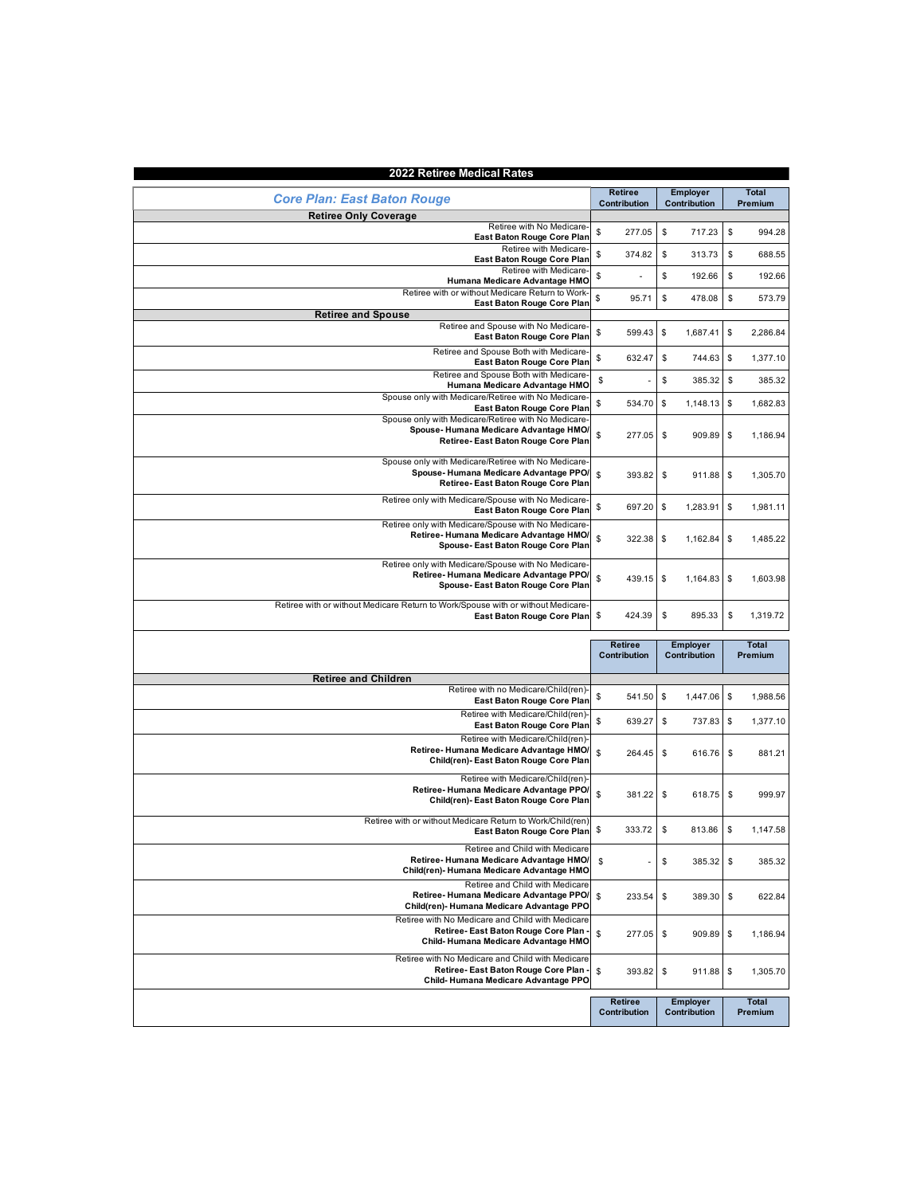| 2022 Retiree Medical Rates                                                                                                     |                |                 |                |
|--------------------------------------------------------------------------------------------------------------------------------|----------------|-----------------|----------------|
|                                                                                                                                | <b>Retiree</b> | <b>Employer</b> | <b>Total</b>   |
| <b>Core Plan: East Baton Rouge</b>                                                                                             | Contribution   | Contribution    | Premium        |
| <b>Retiree Only Coverage</b>                                                                                                   |                |                 |                |
| Retiree with No Medicare-<br>East Baton Rouge Core Plan                                                                        | \$<br>277.05   | \$<br>717.23    | \$<br>994.28   |
| Retiree with Medicare<br>East Baton Rouge Core Plan                                                                            | \$<br>374.82   | \$<br>313.73    | \$<br>688.55   |
| Retiree with Medicare-<br>Humana Medicare Advantage HMO                                                                        | \$             | \$<br>192.66    | \$<br>192.66   |
| Retiree with or without Medicare Return to Work<br>East Baton Rouge Core Plan                                                  | \$<br>95.71    | \$<br>478.08    | \$<br>573.79   |
| <b>Retiree and Spouse</b>                                                                                                      |                |                 |                |
| Retiree and Spouse with No Medicare-<br>East Baton Rouge Core Plan                                                             | \$<br>599.43   | \$<br>1,687.41  | \$<br>2,286.84 |
| Retiree and Spouse Both with Medicare-<br>East Baton Rouge Core Plan                                                           | \$<br>632.47   | \$<br>744.63    | \$<br>1,377.10 |
| Retiree and Spouse Both with Medicare<br>Humana Medicare Advantage HMO                                                         | \$             | \$<br>385.32    | \$<br>385.32   |
| Spouse only with Medicare/Retiree with No Medicare<br>East Baton Rouge Core Plan                                               | \$<br>534.70   | \$<br>1,148.13  | \$<br>1,682.83 |
| Spouse only with Medicare/Retiree with No Medicare-<br>Spouse-Humana Medicare Advantage HMO/                                   |                |                 |                |
| Retiree-East Baton Rouge Core Plan                                                                                             | \$<br>277.05   | \$<br>909.89    | \$<br>1,186.94 |
| Spouse only with Medicare/Retiree with No Medicare<br>Spouse-Humana Medicare Advantage PPO/                                    | \$<br>393.82   | \$<br>911.88    | \$<br>1,305.70 |
| Retiree-East Baton Rouge Core Plan<br>Retiree only with Medicare/Spouse with No Medicare                                       |                |                 |                |
| East Baton Rouge Core Plan<br>Retiree only with Medicare/Spouse with No Medicare                                               | \$<br>697.20   | \$<br>1,283.91  | \$<br>1.981.11 |
| Retiree-Humana Medicare Advantage HMO/<br>Spouse-East Baton Rouge Core Plan                                                    | \$<br>322.38   | \$<br>1,162.84  | \$<br>1.485.22 |
| Retiree only with Medicare/Spouse with No Medicare-<br>Retiree-Humana Medicare Advantage PPO/                                  | \$<br>439.15   | \$<br>1,164.83  | \$<br>1,603.98 |
| Spouse-East Baton Rouge Core Plan<br>Retiree with or without Medicare Return to Work/Spouse with or without Medicare-          |                |                 |                |
| East Baton Rouge Core Plan                                                                                                     | \$<br>424.39   | \$<br>895.33    | \$<br>1,319.72 |
|                                                                                                                                | <b>Retiree</b> | <b>Employer</b> | <b>Total</b>   |
|                                                                                                                                | Contribution   | Contribution    | Premium        |
| <b>Retiree and Children</b>                                                                                                    |                |                 |                |
| Retiree with no Medicare/Child(ren)<br>East Baton Rouge Core Plan                                                              | \$<br>541.50   | \$<br>1,447.06  | \$<br>1,988.56 |
| Retiree with Medicare/Child(ren)<br>East Baton Rouge Core Plan                                                                 | \$<br>639.27   | \$<br>737.83    | \$<br>1,377.10 |
| Retiree with Medicare/Child(ren)<br>Retiree-Humana Medicare Advantage HMO/                                                     |                |                 |                |
| Child(ren)- East Baton Rouge Core Plan                                                                                         | \$<br>264.45   | \$<br>616.76    | \$<br>881.21   |
| Retiree with Medicare/Child(ren)<br>Retiree-Humana Medicare Advantage PPO/<br>Child(ren)- East Baton Rouge Core Plan           | \$<br>381.22   | \$<br>618.75    | \$<br>999.97   |
| Retiree with or without Medicare Return to Work/Child(ren)<br>East Baton Rouge Core Plan                                       | \$<br>333.72   | \$<br>813.86    | \$<br>1.147.58 |
| Retiree and Child with Medicare<br>Retiree-Humana Medicare Advantage HMO/                                                      |                |                 |                |
| Child(ren)- Humana Medicare Advantage HMO                                                                                      | \$             | \$<br>385.32    | \$<br>385.32   |
| Retiree and Child with Medicare<br>Retiree-Humana Medicare Advantage PPO/<br>Child(ren)- Humana Medicare Advantage PPO         | \$<br>233.54   | \$<br>389.30    | \$<br>622.84   |
| Retiree with No Medicare and Child with Medicare<br>Retiree- East Baton Rouge Core Plan                                        |                |                 |                |
| Child-Humana Medicare Advantage HMO                                                                                            | \$<br>277.05   | \$<br>909.89 \$ | 1,186.94       |
| Retiree with No Medicare and Child with Medicare<br>Retiree- East Baton Rouge Core Plan<br>Child-Humana Medicare Advantage PPO | \$<br>393.82   | \$<br>911.88    | \$<br>1,305.70 |

| Crilla-Humana Medicare Advantage FFO |                     |                 |         |
|--------------------------------------|---------------------|-----------------|---------|
|                                      |                     |                 |         |
|                                      | <b>Retiree</b>      | <b>Employer</b> | Total   |
|                                      | <b>Contribution</b> | Contribution    | Premium |
|                                      |                     |                 |         |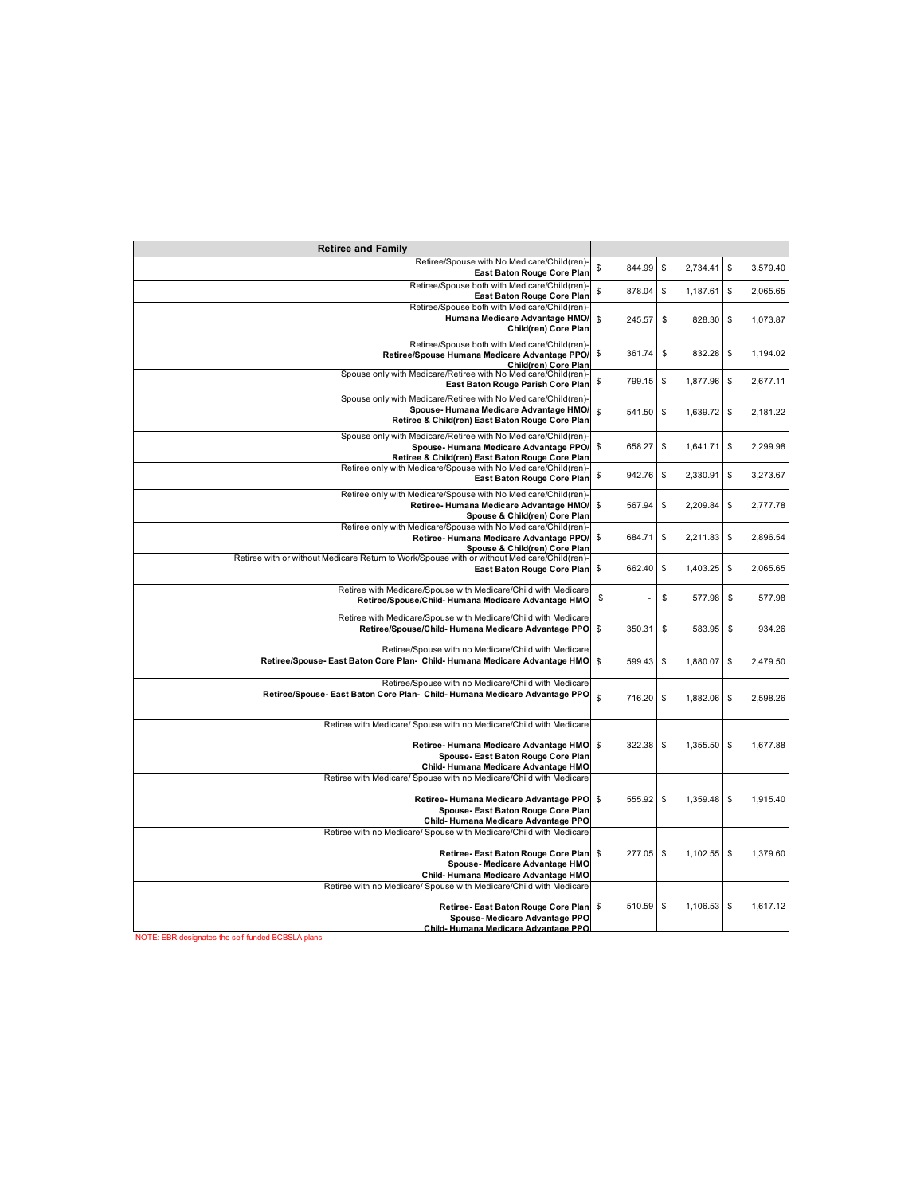| <b>Retiree and Family</b>                                                                                                                                                                                                             |              |                          |                          |
|---------------------------------------------------------------------------------------------------------------------------------------------------------------------------------------------------------------------------------------|--------------|--------------------------|--------------------------|
| Retiree/Spouse with No Medicare/Child(ren)-<br>East Baton Rouge Core Plan                                                                                                                                                             | \$<br>844.99 | $\mathbb{S}$<br>2,734.41 | \$<br>3,579.40           |
| Retiree/Spouse both with Medicare/Child(ren)-<br>East Baton Rouge Core Plan                                                                                                                                                           | \$<br>878.04 | \$<br>1,187.61           | \$<br>2,065.65           |
| Retiree/Spouse both with Medicare/Child(ren)-<br>Humana Medicare Advantage HMO/<br>Child(ren) Core Plan                                                                                                                               | \$<br>245.57 | \$<br>828.30             | <b>S</b><br>1,073.87     |
| Retiree/Spouse both with Medicare/Child(ren)-<br>Retiree/Spouse Humana Medicare Advantage PPO/<br>Child(ren) Core Plan                                                                                                                | \$<br>361.74 | \$<br>832.28             | \$<br>1,194.02           |
| Spouse only with Medicare/Retiree with No Medicare/Child(ren)-<br>East Baton Rouge Parish Core Plan                                                                                                                                   | \$<br>799.15 | \$<br>1,877.96           | $\mathbb{S}$<br>2,677.11 |
| Spouse only with Medicare/Retiree with No Medicare/Child(ren)-<br>Spouse-Humana Medicare Advantage HMO/<br>Retiree & Child(ren) East Baton Rouge Core Plan                                                                            | \$<br>541.50 | \$<br>1,639.72           | \$<br>2,181.22           |
| Spouse only with Medicare/Retiree with No Medicare/Child(ren)-<br>Spouse-Humana Medicare Advantage PPO/<br>Retiree & Child(ren) East Baton Rouge Core Plan                                                                            | \$<br>658.27 | \$<br>1,641.71           | \$<br>2,299.98           |
| Retiree only with Medicare/Spouse with No Medicare/Child(ren)-<br>East Baton Rouge Core Plan                                                                                                                                          | \$<br>942.76 | \$<br>2,330.91           | $\mathbb{S}$<br>3,273.67 |
| Retiree only with Medicare/Spouse with No Medicare/Child(ren)<br>Retiree-Humana Medicare Advantage HMO/<br>Spouse & Child(ren) Core Plan                                                                                              | \$<br>567.94 | \$<br>2,209.84           | \$<br>2,777.78           |
| Retiree only with Medicare/Spouse with No Medicare/Child(ren)-<br>Retiree-Humana Medicare Advantage PPO/<br>Spouse & Child(ren) Core Plan                                                                                             | \$<br>684.71 | \$<br>2,211.83           | \$<br>2,896.54           |
| Retiree with or without Medicare Return to Work/Spouse with or without Medicare/Child(ren)<br>East Baton Rouge Core Plan                                                                                                              | \$<br>662.40 | \$<br>1,403.25           | \$<br>2,065.65           |
| Retiree with Medicare/Spouse with Medicare/Child with Medicare<br>Retiree/Spouse/Child-Humana Medicare Advantage HMO                                                                                                                  | \$           | \$<br>577.98             | \$<br>577.98             |
| Retiree with Medicare/Spouse with Medicare/Child with Medicare<br>Retiree/Spouse/Child-Humana Medicare Advantage PPO                                                                                                                  | \$<br>350.31 | \$<br>583.95             | \$<br>934.26             |
| Retiree/Spouse with no Medicare/Child with Medicare<br>Retiree/Spouse-East Baton Core Plan- Child-Humana Medicare Advantage HMO                                                                                                       | \$<br>599.43 | \$<br>1,880.07           | \$<br>2,479.50           |
| Retiree/Spouse with no Medicare/Child with Medicare<br>Retiree/Spouse-East Baton Core Plan- Child-Humana Medicare Advantage PPO                                                                                                       | \$<br>716.20 | \$<br>1,882.06           | \$<br>2,598.26           |
| Retiree with Medicare/ Spouse with no Medicare/Child with Medicare<br>Retiree-Humana Medicare Advantage HMO<br>Spouse-East Baton Rouge Core Plan<br>Child-Humana Medicare Advantage HMO                                               | \$<br>322.38 | \$<br>1,355.50           | \$<br>1.677.88           |
| Retiree with Medicare/ Spouse with no Medicare/Child with Medicare<br>Retiree-Humana Medicare Advantage PPO<br>Spouse-East Baton Rouge Core Plan<br>Child-Humana Medicare Advantage PPO                                               | \$<br>555.92 | \$<br>1,359.48           | \$<br>1,915.40           |
| Retiree with no Medicare/ Spouse with Medicare/Child with Medicare<br>Retiree-East Baton Rouge Core Plan<br>Spouse-Medicare Advantage HMO<br>Child-Humana Medicare Advantage HMO                                                      | \$<br>277.05 | \$<br>1,102.55           | \$<br>1,379.60           |
| Retiree with no Medicare/ Spouse with Medicare/Child with Medicare<br>Retiree-East Baton Rouge Core Plan<br>Spouse-Medicare Advantage PPO<br>Child-Humana Medicare Advantage PPO<br>NOTE: EBR designates the self-funded BCBSLA plans | 510.59<br>\$ | \$<br>1,106.53           | \$<br>1,617.12           |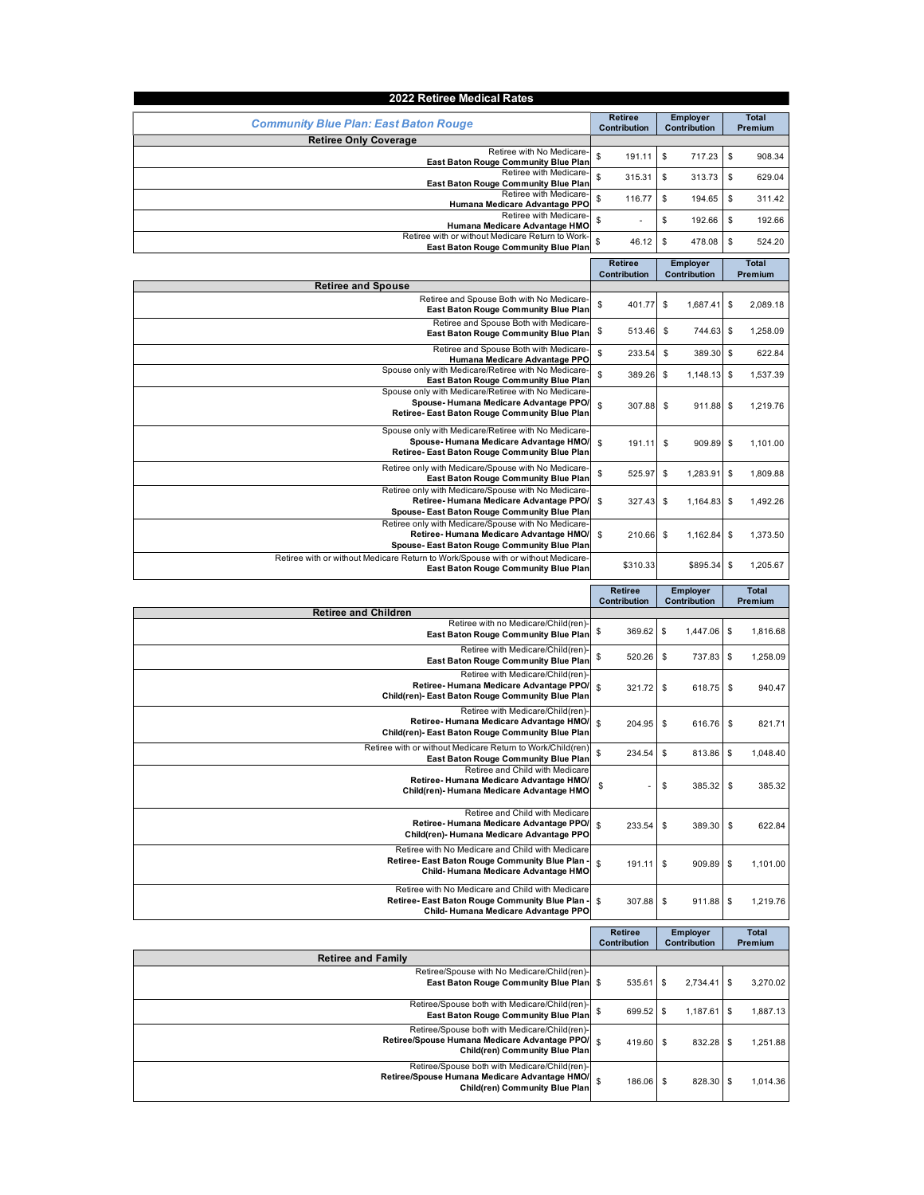| 2022 Retiree Medical Rates                                                                                                                   |                                |                                 |                         |
|----------------------------------------------------------------------------------------------------------------------------------------------|--------------------------------|---------------------------------|-------------------------|
| <b>Community Blue Plan: East Baton Rouge</b>                                                                                                 | <b>Retiree</b><br>Contribution | <b>Employer</b><br>Contribution |                         |
| <b>Retiree Only Coverage</b><br>Retiree with No Medicare-                                                                                    | \$<br>191.11                   | \$<br>717.23                    | \$<br>908.34            |
| East Baton Rouge Community Blue Plan<br>Retiree with Medicare-                                                                               | \$<br>315.31                   | \$<br>313.73                    | \$<br>629.04            |
| East Baton Rouge Community Blue Plan<br>Retiree with Medicare-<br>Humana Medicare Advantage PPO                                              | \$<br>116.77                   | \$<br>194.65                    | \$<br>311.42            |
| Retiree with Medicare-<br>Humana Medicare Advantage HMO                                                                                      | \$                             | \$<br>192.66                    | \$<br>192.66            |
| Retiree with or without Medicare Return to Work-<br>East Baton Rouge Community Blue Plan                                                     | \$<br>46.12                    | \$<br>478.08                    | \$<br>524.20            |
|                                                                                                                                              | <b>Retiree</b>                 | <b>Employer</b>                 | Total                   |
| <b>Retiree and Spouse</b>                                                                                                                    | Contribution                   | Contribution                    | Premium                 |
| Retiree and Spouse Both with No Medicare<br>East Baton Rouge Community Blue Plan                                                             | \$<br>401.77                   | \$<br>1,687.41                  | \$<br>2,089.18          |
| Retiree and Spouse Both with Medicare-<br>East Baton Rouge Community Blue Plan                                                               | \$<br>513.46                   | \$<br>744.63                    | \$<br>1,258.09          |
| Retiree and Spouse Both with Medicare-<br>Humana Medicare Advantage PPO                                                                      | \$<br>233.54                   | \$<br>389.30                    | \$<br>622.84            |
| Spouse only with Medicare/Retiree with No Medicare-<br><b>East Baton Rouge Community Blue Plan</b>                                           | \$<br>389.26                   | \$<br>1,148.13                  | \$<br>1,537.39          |
| Spouse only with Medicare/Retiree with No Medicare-<br>Spouse-Humana Medicare Advantage PPO/<br>Retiree-East Baton Rouge Community Blue Plan | \$<br>307.88                   | \$<br>911.88                    | \$<br>1,219.76          |
| Spouse only with Medicare/Retiree with No Medicare-<br>Spouse-Humana Medicare Advantage HMO/<br>Retiree-East Baton Rouge Community Blue Plan | \$<br>191.11                   | \$<br>909.89                    | \$<br>1,101.00          |
| Retiree only with Medicare/Spouse with No Medicare-<br>East Baton Rouge Community Blue Plan                                                  | \$<br>525.97                   | \$<br>1,283.91                  | \$<br>1,809.88          |
| Retiree only with Medicare/Spouse with No Medicare-<br>Retiree-Humana Medicare Advantage PPO/<br>Spouse-East Baton Rouge Community Blue Plan | \$<br>327.43                   | \$<br>1,164.83                  | 1,492.26<br>\$          |
| Retiree only with Medicare/Spouse with No Medicare-<br>Retiree-Humana Medicare Advantage HMO/<br>Spouse-East Baton Rouge Community Blue Plan | \$<br>210.66                   | \$<br>1,162.84                  | \$<br>1,373.50          |
| Retiree with or without Medicare Return to Work/Spouse with or without Medicare<br><b>East Baton Rouge Community Blue Plan</b>               | \$310.33                       | \$895.34                        | \$<br>1,205.67          |
|                                                                                                                                              | Retiree<br>Contribution        | <b>Employer</b><br>Contribution | <b>Total</b><br>Premium |
| <b>Retiree and Children</b><br>Retiree with no Medicare/Child(ren)                                                                           |                                |                                 |                         |
| East Baton Rouge Community Blue Plan                                                                                                         | \$<br>369.62                   | \$<br>1,447.06                  | \$<br>1,816.68          |
| Retiree with Medicare/Child(ren)-<br>East Baton Rouge Community Blue Plan                                                                    | \$<br>520.26                   | \$<br>737.83                    | \$<br>1,258.09          |
| Retiree with Medicare/Child(ren)-<br>Retiree-Humana Medicare Advantage PPO/<br>Child(ren)- East Baton Rouge Community Blue Plan              | \$<br>321.72                   | \$<br>618.75                    | \$<br>940.47            |
| Retiree with Medicare/Child(ren)-<br>Retiree-Humana Medicare Advantage HMO/<br>Child(ren)- East Baton Rouge Community Blue Plan              | \$<br>204.95                   | \$<br>616.76                    | \$<br>821.71            |
| Retiree with or without Medicare Return to Work/Child(ren)<br>East Baton Rouge Community Blue Plan                                           | \$<br>234.54                   | \$<br>813.86                    | 1,048.40<br>\$          |
| Retiree and Child with Medicare<br>Retiree-Humana Medicare Advantage HMO/<br>Child(ren)- Humana Medicare Advantage HMO                       | \$                             | \$<br>385.32                    | \$<br>385.32            |
| Retiree and Child with Medicare<br>Retiree-Humana Medicare Advantage PPO/<br>Child(ren)- Humana Medicare Advantage PPO                       | \$<br>233.54                   | \$<br>389.30                    | \$<br>622.84            |
| Retiree with No Medicare and Child with Medicare<br>Retiree- East Baton Rouge Community Blue Plan<br>Child-Humana Medicare Advantage HMO     | \$<br>191.11                   | \$<br>909.89                    | \$<br>1,101.00          |
| Retiree with No Medicare and Child with Medicare<br>Retiree- East Baton Rouge Community Blue Plan<br>Child-Humana Medicare Advantage PPO     | \$<br>307.88                   | \$<br>911.88                    | \$<br>1,219.76          |
|                                                                                                                                              | <b>Retiree</b>                 | <b>Employer</b>                 | <b>Total</b>            |
| <b>Retiree and Family</b>                                                                                                                    | Contribution                   | Contribution                    | Premium                 |
| Retiree/Spouse with No Medicare/Child(ren)-<br>East Baton Rouge Community Blue Plan                                                          | \$<br>535.61                   | \$<br>2,734.41                  | \$<br>3,270.02          |
| Retiree/Spouse both with Medicare/Child(ren)-<br>East Baton Rouge Community Blue Plan                                                        | \$<br>699.52                   | \$<br>1,187.61                  | \$<br>1,887.13          |
| Retiree/Spouse both with Medicare/Child(ren)<br>Retiree/Spouse Humana Medicare Advantage PPO/<br>Child(ren) Community Blue Plan              | \$<br>419.60                   | \$<br>832.28                    | \$<br>1,251.88          |
| Retiree/Spouse both with Medicare/Child(ren)-<br>Retiree/Spouse Humana Medicare Advantage HMO/<br>Child(ren) Community Blue Plan             | \$<br>186.06                   | \$<br>828.30                    | \$<br>1,014.36          |